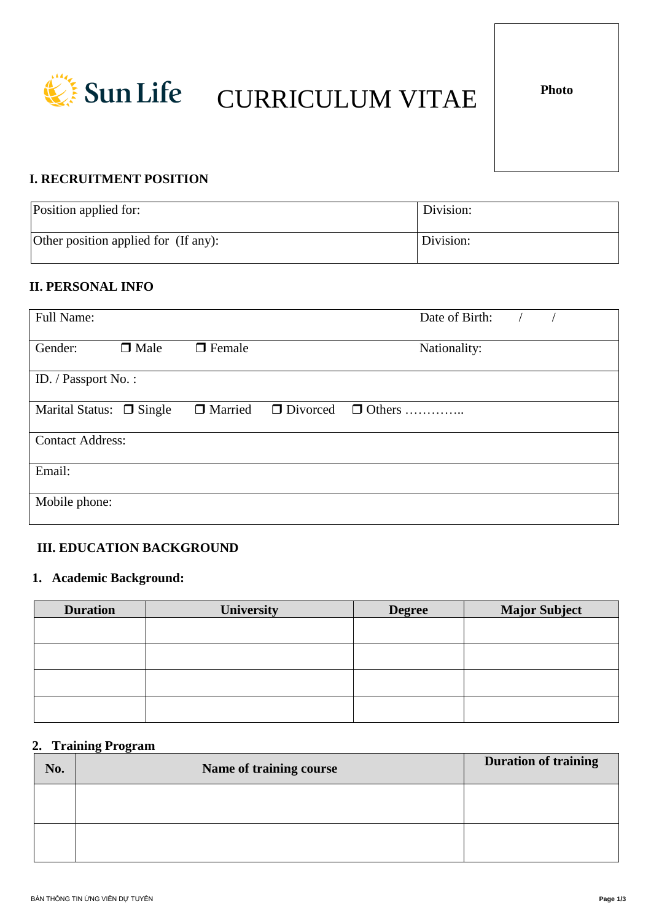

# **EXECUTE SUNLIFE CURRICULUM VITAE**

## **I. RECRUITMENT POSITION**

| Position applied for:                | Division: |
|--------------------------------------|-----------|
| Other position applied for (If any): | Division: |

## **II. PERSONAL INFO**

| <b>Full Name:</b>             |             |               | Date of Birth:                |  |  |
|-------------------------------|-------------|---------------|-------------------------------|--|--|
| Gender:                       | $\Box$ Male | $\Box$ Female | Nationality:                  |  |  |
| ID. / Passport No.:           |             |               |                               |  |  |
| Marital Status: $\Box$ Single |             | □ Married     | $\Box$ Divorced $\Box$ Others |  |  |
| <b>Contact Address:</b>       |             |               |                               |  |  |
| Email:                        |             |               |                               |  |  |
| Mobile phone:                 |             |               |                               |  |  |

## **III. EDUCATION BACKGROUND**

## **1. Academic Background:**

| <b>Duration</b> | University | <b>Degree</b> | <b>Major Subject</b> |
|-----------------|------------|---------------|----------------------|
|                 |            |               |                      |
|                 |            |               |                      |
|                 |            |               |                      |
|                 |            |               |                      |
|                 |            |               |                      |
|                 |            |               |                      |

#### **2. Training Program**

| No. | <b>Name of training course</b> | <b>Duration of training</b> |
|-----|--------------------------------|-----------------------------|
|     |                                |                             |
|     |                                |                             |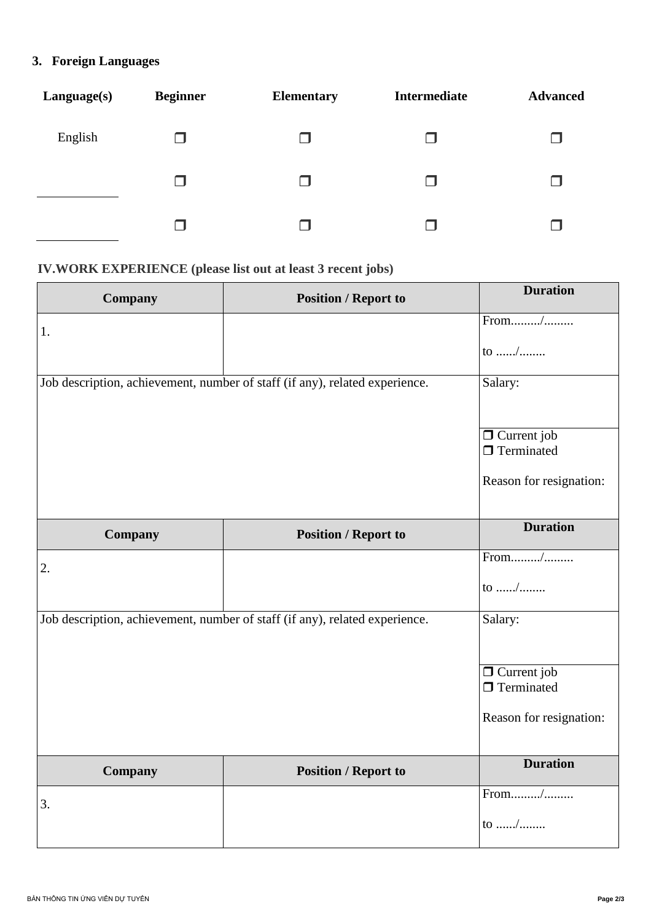## 3. Foreign Languages

| Language(s) | <b>Beginner</b> | <b>Elementary</b> | <b>Intermediate</b> | <b>Advanced</b> |
|-------------|-----------------|-------------------|---------------------|-----------------|
| English     |                 |                   |                     | H               |
|             |                 | ┓                 |                     | H               |
|             |                 |                   |                     |                 |

## IV.WORK EXPERIENCE (please list out at least 3 recent jobs)

| Company | <b>Position / Report to</b>                                                 | <b>Duration</b>                         |
|---------|-----------------------------------------------------------------------------|-----------------------------------------|
| 1.      |                                                                             | From/                                   |
|         |                                                                             | to /                                    |
|         | Job description, achievement, number of staff (if any), related experience. | Salary:                                 |
|         |                                                                             |                                         |
|         |                                                                             | $\Box$ Current job<br>$\Box$ Terminated |
|         |                                                                             |                                         |
|         |                                                                             | Reason for resignation:                 |
|         |                                                                             | <b>Duration</b>                         |
| Company | <b>Position / Report to</b>                                                 |                                         |
| 2.      |                                                                             | From/                                   |
|         |                                                                             | to /                                    |
|         | Job description, achievement, number of staff (if any), related experience. | Salary:                                 |
|         |                                                                             |                                         |
|         |                                                                             | $\Box$ Current job                      |
|         |                                                                             | $\Box$ Terminated                       |
|         |                                                                             | Reason for resignation:                 |
|         |                                                                             |                                         |
| Company | <b>Position / Report to</b>                                                 | <b>Duration</b>                         |
| 3.      |                                                                             |                                         |
|         |                                                                             | to /                                    |